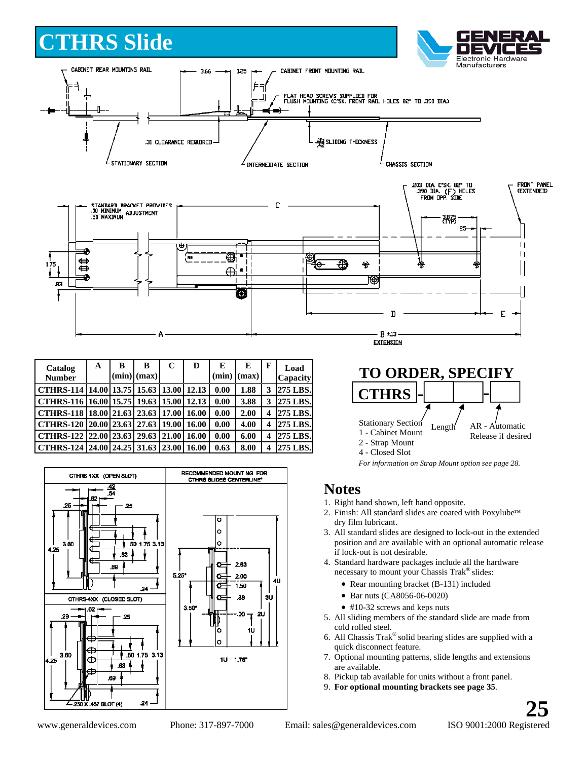## **CTHRS Slide**





| Catalog<br><b>Number</b>                  | A | B | B<br>$(min)$ $(max)$ | C     | D     | E<br>(min) | E<br>(max) | F | Load<br><b>Capacity</b> |
|-------------------------------------------|---|---|----------------------|-------|-------|------------|------------|---|-------------------------|
| CTHRS-114   14.00   13.75   15.63   13.00 |   |   |                      |       | 12.13 | 0.00       | 1.88       | 3 | 275 LBS.                |
| CTHRS-116   16.00   15.75   19.63   15.00 |   |   |                      |       | 12.13 | 0.00       | 3.88       | 3 | 275 LBS.                |
| CTHRS-118   18.00   21.63   23.63   17.00 |   |   |                      |       | 16.00 | 0.00       | 2.00       | 4 | 275 LBS.                |
| CTHRS-120 20.00 23.63 27.63 19.00         |   |   |                      |       | 16.00 | 0.00       | 4.00       | 4 | 275 LBS.                |
| CTHRS-122   22.00   23.63                 |   |   | 29.63                | 21.00 | 16.00 | 0.00       | 6.00       | 4 | 275 LBS.                |
| CTHRS-124 24.00 24.25 31.63               |   |   |                      | 23.00 | 16.00 | 0.63       | 8.00       | 4 | 275 LBS.                |



**TO ORDER, SPECIFY**  Stationary Section 1 - Cabinet Mount 2 - Strap Mount Length AR - Automatic Release if desired **CTHRS - -**

4 - Closed Slot

*For information on Strap Mount option see page 28.* 

#### **Notes**

- 1. Right hand shown, left hand opposite.
- 2. Finish: All standard slides are coated with Poxylube<sup>™</sup> dry film lubricant.
- 3. All standard slides are designed to lock-out in the extended position and are available with an optional automatic release if lock-out is not desirable.
- 4. Standard hardware packages include all the hardware necessary to mount your Chassis Trak® slides:
	- Rear mounting bracket (B-131) included
	- Bar nuts (CA8056-06-0020)
	- #10-32 screws and keps nuts
- 5. All sliding members of the standard slide are made from cold rolled steel.
- 6. All Chassis Trak® solid bearing slides are supplied with a quick disconnect feature.
- 7. Optional mounting patterns, slide lengths and extensions are available.
- 8. Pickup tab available for units without a front panel.
- 9. **For optional mounting brackets see page 35**.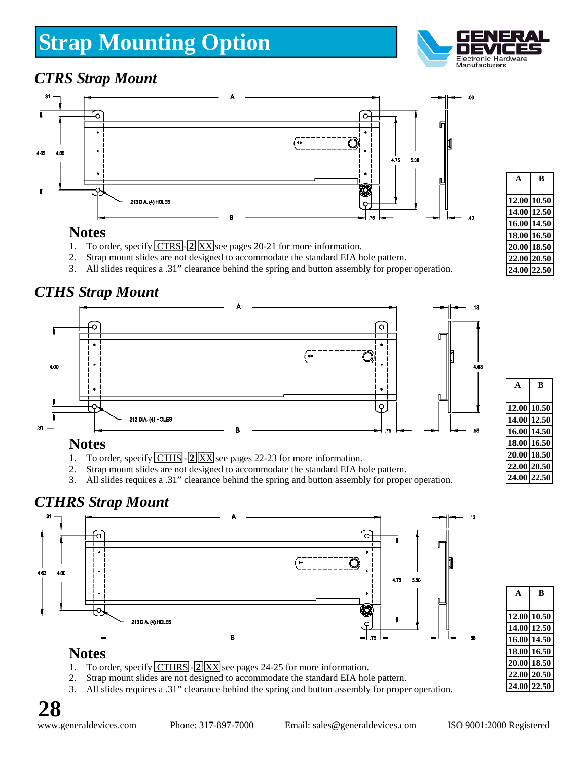# **Strap Mounting Option**



m

## *CTRS Strap Mount*



#### **Notes**

- 1. To order, specify **CTRS 2 XX** see pages 20-21 for more information.
- 2. Strap mount slides are not designed to accommodate the standard EIA hole pattern.
- 3. All slides requires a .31" clearance behind the spring and button assembly for proper operation.

## *CTHS Strap Mount*



#### **Notes**

- 1. To order, specify **CTHS 2 XX** see pages 22-23 for more information.
- 2. Strap mount slides are not designed to accommodate the standard EIA hole pattern.
- 3. All slides requires a .31" clearance behind the spring and button assembly for proper operation.

## *CTHRS Strap Mount*



- 1. To order, specify **CTHRS** 2 XX see pages 24-25 for more information.
- 2. Strap mount slides are not designed to accommodate the standard EIA hole pattern.
- 3. All slides requires a .31" clearance behind the spring and button assembly for proper operation.

**A B** 

**A B** 

**12.00 10.50 14.00 12.50 16.00 14.50 18.00 16.50 20.00 18.50 22.00 20.50 24.00 22.50** 

| Δ           | R           |
|-------------|-------------|
|             |             |
|             | 12.00 10.50 |
| 14.00 12.50 |             |
| 16.00 14.50 |             |
| 18.00 16.50 |             |
| 20.00 18.50 |             |
| 22.00 20.50 |             |
| 24.00 22.50 |             |